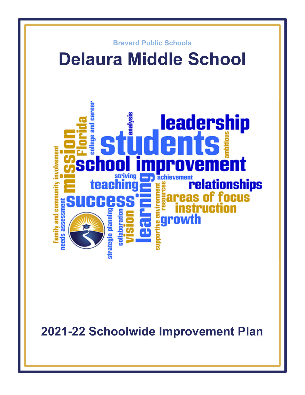

**2021-22 Schoolwide Improvement Plan**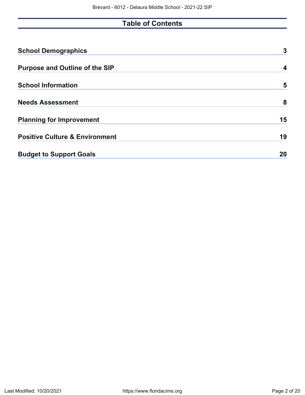# **Table of Contents**

| <b>School Demographics</b>                | 3  |
|-------------------------------------------|----|
| <b>Purpose and Outline of the SIP</b>     | 4  |
| <b>School Information</b>                 | 5  |
| <b>Needs Assessment</b>                   | 8  |
| <b>Planning for Improvement</b>           | 15 |
| <b>Positive Culture &amp; Environment</b> | 19 |
| <b>Budget to Support Goals</b>            | 20 |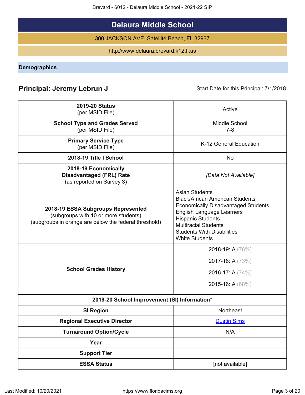Brevard - 6012 - Delaura Middle School - 2021-22 SIP

# **Delaura Middle School**

300 JACKSON AVE, Satellite Beach, FL 32937

http://www.delaura.brevard.k12.fl.us

<span id="page-2-0"></span>**Demographics**

# **Principal: Jeremy Lebrun J** Start Date for this Principal: 7/1/2018

| <b>2019-20 Status</b><br>(per MSID File)                                                                                            | Active                                                                                                                                                                                                                                                                     |
|-------------------------------------------------------------------------------------------------------------------------------------|----------------------------------------------------------------------------------------------------------------------------------------------------------------------------------------------------------------------------------------------------------------------------|
| <b>School Type and Grades Served</b><br>(per MSID File)                                                                             | Middle School<br>$7 - 8$                                                                                                                                                                                                                                                   |
| <b>Primary Service Type</b><br>(per MSID File)                                                                                      | K-12 General Education                                                                                                                                                                                                                                                     |
| 2018-19 Title I School                                                                                                              | <b>No</b>                                                                                                                                                                                                                                                                  |
| 2018-19 Economically<br><b>Disadvantaged (FRL) Rate</b><br>(as reported on Survey 3)                                                | [Data Not Available]                                                                                                                                                                                                                                                       |
| 2018-19 ESSA Subgroups Represented<br>(subgroups with 10 or more students)<br>(subgroups in orange are below the federal threshold) | <b>Asian Students</b><br><b>Black/African American Students</b><br><b>Economically Disadvantaged Students</b><br><b>English Language Learners</b><br><b>Hispanic Students</b><br><b>Multiracial Students</b><br><b>Students With Disabilities</b><br><b>White Students</b> |
| <b>School Grades History</b>                                                                                                        | 2018-19: A (76%)<br>2017-18: A (73%)<br>2016-17: A (74%)<br>2015-16: A (68%)                                                                                                                                                                                               |
| 2019-20 School Improvement (SI) Information*                                                                                        |                                                                                                                                                                                                                                                                            |
| <b>SI Region</b>                                                                                                                    | Northeast                                                                                                                                                                                                                                                                  |
| <b>Regional Executive Director</b>                                                                                                  | <b>Dustin Sims</b>                                                                                                                                                                                                                                                         |
| <b>Turnaround Option/Cycle</b>                                                                                                      | N/A                                                                                                                                                                                                                                                                        |
| Year                                                                                                                                |                                                                                                                                                                                                                                                                            |
| <b>Support Tier</b>                                                                                                                 |                                                                                                                                                                                                                                                                            |
| <b>ESSA Status</b>                                                                                                                  | [not available]                                                                                                                                                                                                                                                            |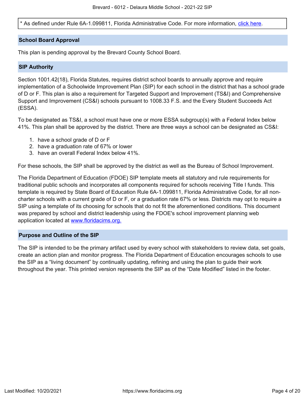\* As defined under Rule 6A-1.099811, Florida Administrative Code. For more information, [click here.](/downloads?category=da-forms)

### **School Board Approval**

This plan is pending approval by the Brevard County School Board.

### **SIP Authority**

Section 1001.42(18), Florida Statutes, requires district school boards to annually approve and require implementation of a Schoolwide Improvement Plan (SIP) for each school in the district that has a school grade of D or F. This plan is also a requirement for Targeted Support and Improvement (TS&I) and Comprehensive Support and Improvement (CS&I) schools pursuant to 1008.33 F.S. and the Every Student Succeeds Act (ESSA).

To be designated as TS&I, a school must have one or more ESSA subgroup(s) with a Federal Index below 41%. This plan shall be approved by the district. There are three ways a school can be designated as CS&I:

- 1. have a school grade of D or F
- 2. have a graduation rate of 67% or lower
- 3. have an overall Federal Index below 41%.

For these schools, the SIP shall be approved by the district as well as the Bureau of School Improvement.

The Florida Department of Education (FDOE) SIP template meets all statutory and rule requirements for traditional public schools and incorporates all components required for schools receiving Title I funds. This template is required by State Board of Education Rule 6A-1.099811, Florida Administrative Code, for all noncharter schools with a current grade of D or F, or a graduation rate 67% or less. Districts may opt to require a SIP using a template of its choosing for schools that do not fit the aforementioned conditions. This document was prepared by school and district leadership using the FDOE's school improvement planning web application located at [www.floridacims.org.](https://www.floridacims.org)

### <span id="page-3-0"></span>**Purpose and Outline of the SIP**

The SIP is intended to be the primary artifact used by every school with stakeholders to review data, set goals, create an action plan and monitor progress. The Florida Department of Education encourages schools to use the SIP as a "living document" by continually updating, refining and using the plan to guide their work throughout the year. This printed version represents the SIP as of the "Date Modified" listed in the footer.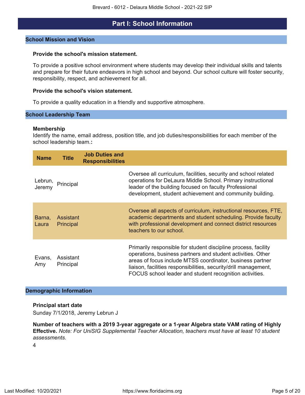## **Part I: School Information**

### <span id="page-4-0"></span>**School Mission and Vision**

### **Provide the school's mission statement.**

To provide a positive school environment where students may develop their individual skills and talents and prepare for their future endeavors in high school and beyond. Our school culture will foster security, responsibility, respect, and achievement for all.

### **Provide the school's vision statement.**

To provide a quality education in a friendly and supportive atmosphere.

### **School Leadership Team**

### **Membership**

Identify the name, email address, position title, and job duties/responsibilities for each member of the school leadership team.**:**

| <b>Name</b>       | <b>Title</b>           | <b>Job Duties and</b><br><b>Responsibilities</b> |                                                                                                                                                                                                                                                                                                                           |
|-------------------|------------------------|--------------------------------------------------|---------------------------------------------------------------------------------------------------------------------------------------------------------------------------------------------------------------------------------------------------------------------------------------------------------------------------|
| Lebrun,<br>Jeremy | Principal              |                                                  | Oversee all curriculum, facilities, security and school related<br>operations for DeLaura Middle School. Primary instructional<br>leader of the building focused on faculty Professional<br>development, student achievement and community building.                                                                      |
| Barna,<br>Laura   | Assistant<br>Principal |                                                  | Oversee all aspects of curriculum, instructional resources, FTE,<br>academic departments and student scheduling. Provide faculty<br>with professional development and connect district resources<br>teachers to our school.                                                                                               |
| Evans,<br>Amy     | Assistant<br>Principal |                                                  | Primarily responsible for student discipline process, facility<br>operations, business partners and student activities. Other<br>areas of focus include MTSS coordinator, business partner<br>liaison, facilities responsibilities, security/drill management,<br>FOCUS school leader and student recognition activities. |

### **Demographic Information**

### **Principal start date**

Sunday 7/1/2018, Jeremy Lebrun J

**Number of teachers with a 2019 3-year aggregate or a 1-year Algebra state VAM rating of Highly Effective.** *Note: For UniSIG Supplemental Teacher Allocation, teachers must have at least 10 student assessments.*

4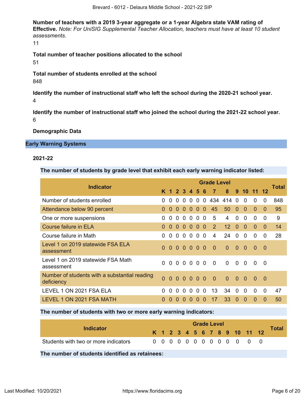**Number of teachers with a 2019 3-year aggregate or a 1-year Algebra state VAM rating of Effective.** *Note: For UniSIG Supplemental Teacher Allocation, teachers must have at least 10 student assessments.*

11

**Total number of teacher positions allocated to the school** 51

**Total number of students enrolled at the school** 848

**Identify the number of instructional staff who left the school during the 2020-21 school year.** 4

**Identify the number of instructional staff who joined the school during the 2021-22 school year.** 6

**Demographic Data**

### **Early Warning Systems**

### **2021-22**

**The number of students by grade level that exhibit each early warning indicator listed:**

| <b>Indicator</b>                                            |              |              |              |               |           |              |                | <b>Grade Level</b>   |                 |          |          |              |          | Total |
|-------------------------------------------------------------|--------------|--------------|--------------|---------------|-----------|--------------|----------------|----------------------|-----------------|----------|----------|--------------|----------|-------|
|                                                             |              |              |              | K 1 2 3 4 5 6 |           |              |                | $\blacktriangledown$ | 8 <sup>°</sup>  |          | 9 10 11  |              | 12       |       |
| Number of students enrolled                                 | <sup>0</sup> | $\Omega$     | 0            | 0             | $\Omega$  | $\Omega$     | $\Omega$       | 434                  | 414 0           |          | $\Omega$ | 0            | $\Omega$ | 848   |
| Attendance below 90 percent                                 | $\Omega$     | $\Omega$     | $\Omega$     | $\Omega$      | $\Omega$  | $\Omega$     | $\overline{0}$ | 45                   | 50              | $\Omega$ | $\Omega$ | $\Omega$     | $\Omega$ | 95    |
| One or more suspensions                                     | 0            | $\Omega$     | $\Omega$     | $\Omega$      | $\Omega$  |              | 0 <sub>0</sub> | 5                    | 4               | $\Omega$ | $\Omega$ | 0            | 0        | 9     |
| Course failure in ELA                                       | $\Omega$     | $\Omega$     | $\Omega$     | $\Omega$      | $\Omega$  |              | 0 <sub>0</sub> | 2                    | 12 <sup>2</sup> | $\Omega$ | $\Omega$ | $\Omega$     | $\Omega$ | 14    |
| Course failure in Math                                      | 0            | $\Omega$     | 0            | 0             | $\Omega$  | $\Omega$     | $\Omega$       | 4                    | 24              | $\Omega$ | $\Omega$ | 0            | $\Omega$ | 28    |
| Level 1 on 2019 statewide FSA ELA<br>assessment             | $\Omega$     | $\Omega$     | $\Omega$     | $\Omega$      | $0\,0\,0$ |              |                | $\Omega$             | $\Omega$        | $\Omega$ | $\Omega$ | $\bullet$    | - 0      |       |
| Level 1 on 2019 statewide FSA Math<br>assessment            | 0            | $\Omega$     | $\Omega$     | $\Omega$      | $\Omega$  | $\Omega$     | $\Omega$       | $\Omega$             | $\Omega$        | $\Omega$ | $\Omega$ | <sup>0</sup> | - 0      |       |
| Number of students with a substantial reading<br>deficiency | $\Omega$     |              |              | 000000        |           |              |                | $\overline{0}$       | $\overline{0}$  | $\Omega$ | - 0      | $\Omega$     | - 0      |       |
| LEVEL 1 ON 2021 FSA ELA                                     | <sup>0</sup> | <sup>0</sup> | <sup>0</sup> | <sup>0</sup>  | $\Omega$  | $\Omega$     | $\overline{0}$ | 13                   | 34              | 0        | $\Omega$ | $\Omega$     | 0        | 47    |
| LEVEL 1 ON 2021 FSA MATH                                    |              |              |              |               |           | $\mathbf{U}$ | $\Omega$       | 17                   | 33              | $\Omega$ | O        | O            | $\Omega$ | 50    |

### **The number of students with two or more early warning indicators:**

| Indicator                            |  |  |  | <b>Grade Level</b> |  |  |                              |       |
|--------------------------------------|--|--|--|--------------------|--|--|------------------------------|-------|
|                                      |  |  |  |                    |  |  | K 1 2 3 4 5 6 7 8 9 10 11 12 | Total |
| Students with two or more indicators |  |  |  |                    |  |  | 0 0 0 0 0 0 0 0 0 0 0 0 0    |       |

**The number of students identified as retainees:**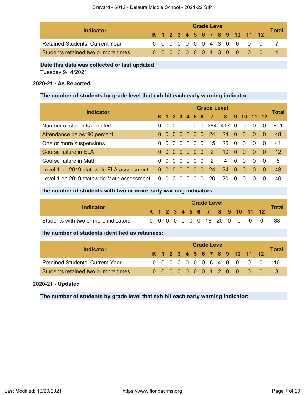|                                        |  |  |  | <b>Grade Level</b> |  |  |                              |              |
|----------------------------------------|--|--|--|--------------------|--|--|------------------------------|--------------|
| Indicator                              |  |  |  |                    |  |  | K 1 2 3 4 5 6 7 8 9 10 11 12 | <b>Total</b> |
| <b>Retained Students: Current Year</b> |  |  |  |                    |  |  | 0 0 0 0 0 0 0 4 3 0 0 0 0    |              |
| Students retained two or more times    |  |  |  |                    |  |  | 0 0 0 0 0 0 0 1 3 0 0 0 0    |              |

### **Date this data was collected or last updated**

Tuesday 9/14/2021

## **2020-21 - As Reported**

## **The number of students by grade level that exhibit each early warning indicator:**

| <b>Indicator</b>                          |              |                |               |                |          |                          |          | <b>Grade Level</b> |                 |                |                |          |          |              |
|-------------------------------------------|--------------|----------------|---------------|----------------|----------|--------------------------|----------|--------------------|-----------------|----------------|----------------|----------|----------|--------------|
|                                           |              |                | K 1 2 3 4 5 6 |                |          |                          |          | $\blacksquare$     | 8               |                | 9 10 11 12     |          |          | <b>Total</b> |
| Number of students enrolled               |              | $\overline{0}$ | $\Omega$      | $\overline{0}$ |          |                          |          |                    | 0 0 0 384 417 0 |                | $\Omega$       | $\Omega$ | $\Omega$ | 801          |
| Attendance below 90 percent               | 0            |                | 000000        |                |          |                          |          |                    | 24 24 0         |                | - 0            | $\Omega$ | -0       | 48           |
| One or more suspensions                   | 0            | $\Omega$       | $\Omega$      |                |          | $0\quad 0\quad 0\quad 0$ |          | 15                 | 26              | $\overline{0}$ | $\Omega$       | $\Omega$ | $\Omega$ | 41           |
| Course failure in ELA                     | 0            | $\Omega$       | $\Omega$      |                |          | $0000$                   |          | $\overline{2}$     | 10 <sup>1</sup> | $\sim 0$       | $\overline{0}$ | $\Omega$ | -0       | 12           |
| Course failure in Math                    | 0            | $\Omega$       | $\Omega$      |                |          | $0\quad 0\quad 0\quad 0$ |          | $\overline{2}$     | 4               | $\overline{0}$ | $\Omega$       | $\Omega$ | 0        | 6            |
| Level 1 on 2019 statewide ELA assessment  | $\Omega$     | $\Omega$       | $\Omega$      | $\Omega$       | $\Omega$ | $\Omega$                 | $\Omega$ | 24                 | 24              | - 0            | $\Omega$       | $\Omega$ | -0       | 48           |
| Level 1 on 2019 statewide Math assessment | <sup>0</sup> |                |               |                |          | Ω                        | 0        | 20                 | 20              | $\Omega$       | n              | $\Omega$ | 0        | 40           |

## **The number of students with two or more early warning indicators:**

| Indicator                            |  |  |  | <b>Grade Level</b> |  |                              |                             |              |
|--------------------------------------|--|--|--|--------------------|--|------------------------------|-----------------------------|--------------|
|                                      |  |  |  |                    |  | K 1 2 3 4 5 6 7 8 9 10 11 12 |                             | <b>Total</b> |
| Students with two or more indicators |  |  |  |                    |  |                              | 0 0 0 0 0 0 0 18 20 0 0 0 0 | - 38         |

## **The number of students identified as retainees:**

|                                        | <b>Grade Level</b> |  |  |  |  |  |  |  |  |  |                              |  |       |  |  |
|----------------------------------------|--------------------|--|--|--|--|--|--|--|--|--|------------------------------|--|-------|--|--|
| Indicator                              |                    |  |  |  |  |  |  |  |  |  | K 1 2 3 4 5 6 7 8 9 10 11 12 |  | Total |  |  |
| <b>Retained Students: Current Year</b> |                    |  |  |  |  |  |  |  |  |  | 0 0 0 0 0 0 0 6 4 0 0 0 0 0  |  |       |  |  |
| Students retained two or more times    |                    |  |  |  |  |  |  |  |  |  | 0000000120000                |  |       |  |  |

## **2020-21 - Updated**

**The number of students by grade level that exhibit each early warning indicator:**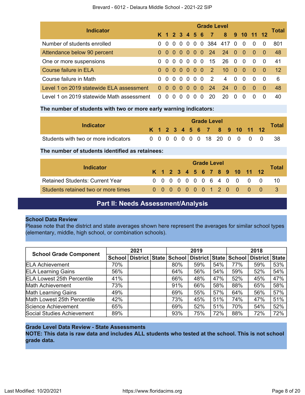| <b>Indicator</b>                          |          |          |                                        |          |                            |                          |          | <b>Grade Level</b> |                 |                |                |          |          | Total |
|-------------------------------------------|----------|----------|----------------------------------------|----------|----------------------------|--------------------------|----------|--------------------|-----------------|----------------|----------------|----------|----------|-------|
|                                           |          |          | K 1 2 3 4 5 6                          |          |                            |                          |          | $\blacksquare$     | 8 <sup>1</sup>  |                | 9 10 11 12     |          |          |       |
| Number of students enrolled               | 0        | $\Omega$ | $\Omega$                               | $\Omega$ | $\overline{\phantom{0}}$ 0 |                          |          |                    | 0 0 384 417 0   |                | $\overline{0}$ | $\Omega$ | $\Omega$ | 801   |
| Attendance below 90 percent               | 0        |          | $0\quad 0\quad 0\quad 0\quad 0\quad 0$ |          |                            |                          |          | 24                 | $24\quad0$      |                | - 0            | $\Omega$ | -0       | 48    |
| One or more suspensions                   | 0        | $\Omega$ | $\Omega$                               |          |                            | $0\quad 0\quad 0\quad 0$ |          | 15                 | - 26            | $\overline{0}$ | $\Omega$       | $\Omega$ | $\Omega$ | 41    |
| Course failure in ELA                     | $\Omega$ | $\Omega$ | $\sim$ 0 $\sim$                        |          |                            | $0000$                   |          | $\overline{2}$     | 10 <sup>°</sup> | $\sim 0$       | $\Omega$       | $\Omega$ | -0       | 12    |
| Course failure in Math                    | 0        | $\Omega$ |                                        |          |                            | 00000                    |          | 2                  | 4               | $\Omega$       | $\Omega$       | $\Omega$ | 0        | 6     |
| Level 1 on 2019 statewide ELA assessment  | $\Omega$ | -0       | $\Omega$                               | $\Omega$ | - 0                        | $\Omega$                 | $\Omega$ | 24                 | 24              | - 0            | - 0            | $\Omega$ | $\Omega$ | 48    |
| Level 1 on 2019 statewide Math assessment | $\Omega$ |          |                                        |          |                            | 0                        | 0        | 20                 | 20              | <sup>0</sup>   |                | $\Omega$ | $\Omega$ | 40    |

### **The number of students with two or more early warning indicators:**

| Indicator                            |  |  |  | <b>Grade Level</b> |  |                              |                             | <b>Total</b> |
|--------------------------------------|--|--|--|--------------------|--|------------------------------|-----------------------------|--------------|
|                                      |  |  |  |                    |  | K 1 2 3 4 5 6 7 8 9 10 11 12 |                             |              |
| Students with two or more indicators |  |  |  |                    |  |                              | 0 0 0 0 0 0 0 18 20 0 0 0 0 | - 38         |

### **The number of students identified as retainees:**

| Indicator                              |  |  |  | <b>Grade Level</b> |  |  |                              |              |
|----------------------------------------|--|--|--|--------------------|--|--|------------------------------|--------------|
|                                        |  |  |  |                    |  |  | K 1 2 3 4 5 6 7 8 9 10 11 12 | <b>Total</b> |
| <b>Retained Students: Current Year</b> |  |  |  |                    |  |  | 0 0 0 0 0 0 0 6 4 0 0 0 0 0  |              |
| Students retained two or more times    |  |  |  |                    |  |  | 0000000120000                |              |

## **Part II: Needs Assessment/Analysis**

### <span id="page-7-0"></span>**School Data Review**

Please note that the district and state averages shown here represent the averages for similar school types (elementary, middle, high school, or combination schools).

| <b>School Grade Component</b>     |               | 2021           |        | 2019                  |     |     | 2018           |     |
|-----------------------------------|---------------|----------------|--------|-----------------------|-----|-----|----------------|-----|
|                                   | <b>School</b> | District State | School | District State School |     |     | District State |     |
| <b>ELA Achievement</b>            | 70%           |                | 80%    | 59%                   | 54% | 77% | 59%            | 53% |
| <b>ELA Learning Gains</b>         | 56%           |                | 64%    | 56%                   | 54% | 59% | 52%            | 54% |
| <b>ELA Lowest 25th Percentile</b> | 41%           |                | 66%    | 48%                   | 47% | 52% | 45%            | 47% |
| Math Achievement                  | 73%           |                | 91%    | 66%                   | 58% | 88% | 65%            | 58% |
| <b>Math Learning Gains</b>        | 49%           |                | 69%    | 55%                   | 57% | 64% | 56%            | 57% |
| Math Lowest 25th Percentile       | 42%           |                | 73%    | 45%                   | 51% | 74% | 47%            | 51% |
| Science Achievement               | 65%           |                | 69%    | 52%                   | 51% | 70% | 54%            | 52% |
| Social Studies Achievement        | 89%           |                | 93%    | 75%                   | 72% | 88% | 72%            | 72% |

### **Grade Level Data Review - State Assessments**

**NOTE: This data is raw data and includes ALL students who tested at the school. This is not school grade data.**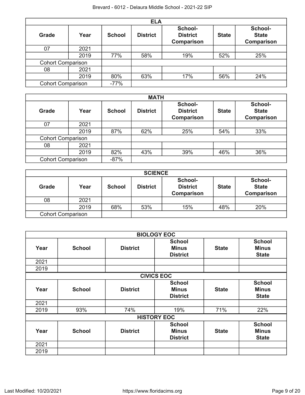|                          |      |               | <b>ELA</b>      |                                          |              |                                              |
|--------------------------|------|---------------|-----------------|------------------------------------------|--------------|----------------------------------------------|
| Grade                    | Year | <b>School</b> | <b>District</b> | School-<br><b>District</b><br>Comparison | <b>State</b> | School-<br><b>State</b><br><b>Comparison</b> |
| 07                       | 2021 |               |                 |                                          |              |                                              |
|                          | 2019 | 77%           | 58%             | 19%                                      | 52%          | 25%                                          |
| <b>Cohort Comparison</b> |      |               |                 |                                          |              |                                              |
| 08                       | 2021 |               |                 |                                          |              |                                              |
|                          | 2019 | 80%           | 63%             | 17%                                      | 56%          | 24%                                          |
| <b>Cohort Comparison</b> |      | $-77%$        |                 |                                          |              |                                              |

|                          |      |               | <b>MATH</b>     |                                          |              |                                              |
|--------------------------|------|---------------|-----------------|------------------------------------------|--------------|----------------------------------------------|
| <b>Grade</b>             | Year | <b>School</b> | <b>District</b> | School-<br><b>District</b><br>Comparison | <b>State</b> | School-<br><b>State</b><br><b>Comparison</b> |
| 07                       | 2021 |               |                 |                                          |              |                                              |
|                          | 2019 | 87%           | 62%             | 25%                                      | 54%          | 33%                                          |
| <b>Cohort Comparison</b> |      |               |                 |                                          |              |                                              |
| 08                       | 2021 |               |                 |                                          |              |                                              |
|                          | 2019 | 82%           | 43%             | 39%                                      | 46%          | 36%                                          |
| <b>Cohort Comparison</b> |      | $-87%$        |                 |                                          |              |                                              |

|                          |      |               | <b>SCIENCE</b>  |                                                 |              |                                              |
|--------------------------|------|---------------|-----------------|-------------------------------------------------|--------------|----------------------------------------------|
| Grade                    | Year | <b>School</b> | <b>District</b> | School-<br><b>District</b><br><b>Comparison</b> | <b>State</b> | School-<br><b>State</b><br><b>Comparison</b> |
| 08                       | 2021 |               |                 |                                                 |              |                                              |
|                          | 2019 | 68%           | 53%             | 15%                                             | 48%          | 20%                                          |
| <b>Cohort Comparison</b> |      |               |                 |                                                 |              |                                              |

|      |               |                 | <b>BIOLOGY EOC</b>                               |              |                                               |
|------|---------------|-----------------|--------------------------------------------------|--------------|-----------------------------------------------|
| Year | <b>School</b> | <b>District</b> | <b>School</b><br><b>Minus</b><br><b>District</b> | <b>State</b> | <b>School</b><br><b>Minus</b><br><b>State</b> |
| 2021 |               |                 |                                                  |              |                                               |
| 2019 |               |                 |                                                  |              |                                               |
|      |               |                 | <b>CIVICS EOC</b>                                |              |                                               |
| Year | <b>School</b> | <b>District</b> | <b>School</b><br><b>Minus</b><br><b>District</b> | <b>State</b> | <b>School</b><br><b>Minus</b><br><b>State</b> |
| 2021 |               |                 |                                                  |              |                                               |
| 2019 | 93%           | 74%             | 19%                                              | 71%          | 22%                                           |
|      |               |                 | <b>HISTORY EOC</b>                               |              |                                               |
| Year | <b>School</b> | <b>District</b> | <b>School</b><br><b>Minus</b><br><b>District</b> | <b>State</b> | <b>School</b><br><b>Minus</b><br><b>State</b> |
| 2021 |               |                 |                                                  |              |                                               |
| 2019 |               |                 |                                                  |              |                                               |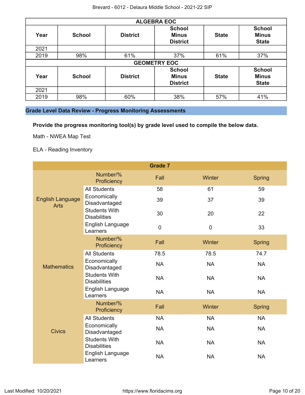|      |               |                 | <b>ALGEBRA EOC</b>                               |              |                                               |
|------|---------------|-----------------|--------------------------------------------------|--------------|-----------------------------------------------|
| Year | <b>School</b> | <b>District</b> | <b>School</b><br><b>Minus</b><br><b>District</b> | <b>State</b> | <b>School</b><br><b>Minus</b><br><b>State</b> |
| 2021 |               |                 |                                                  |              |                                               |
| 2019 | 98%           | 61%             | 37%                                              | 61%          | 37%                                           |
|      |               |                 | <b>GEOMETRY EOC</b>                              |              |                                               |
| Year | <b>School</b> | <b>District</b> | <b>School</b><br><b>Minus</b><br><b>District</b> | <b>State</b> | <b>School</b><br><b>Minus</b><br><b>State</b> |
| 2021 |               |                 |                                                  |              |                                               |
| 2019 | 98%           | 60%             | 38%                                              | 57%          | 41%                                           |

## **Grade Level Data Review - Progress Monitoring Assessments**

**Provide the progress monitoring tool(s) by grade level used to compile the below data.**

Math - NWEA Map Test

ELA - Reading Inventory

|                                        |                                             | <b>Grade 7</b> |           |               |
|----------------------------------------|---------------------------------------------|----------------|-----------|---------------|
|                                        | Number/%<br>Proficiency                     | Fall           | Winter    | <b>Spring</b> |
|                                        | <b>All Students</b>                         | 58             | 61        | 59            |
| <b>English Language</b><br><b>Arts</b> | Economically<br>Disadvantaged               | 39             | 37        | 39            |
|                                        | <b>Students With</b><br><b>Disabilities</b> | 30             | 20        | 22            |
|                                        | English Language<br>Learners                | 0              | $\pmb{0}$ | 33            |
|                                        | Number/%<br>Proficiency                     | Fall           | Winter    | <b>Spring</b> |
|                                        | <b>All Students</b>                         | 78.5           | 78.5      | 74.7          |
| <b>Mathematics</b>                     | Economically<br>Disadvantaged               | <b>NA</b>      | <b>NA</b> | <b>NA</b>     |
|                                        | <b>Students With</b><br><b>Disabilities</b> | <b>NA</b>      | <b>NA</b> | <b>NA</b>     |
|                                        | English Language<br>Learners                | <b>NA</b>      | <b>NA</b> | <b>NA</b>     |
|                                        | Number/%<br>Proficiency                     | Fall           | Winter    | <b>Spring</b> |
|                                        | <b>All Students</b>                         | <b>NA</b>      | <b>NA</b> | <b>NA</b>     |
| <b>Civics</b>                          | Economically<br>Disadvantaged               | <b>NA</b>      | <b>NA</b> | <b>NA</b>     |
|                                        | <b>Students With</b><br><b>Disabilities</b> | <b>NA</b>      | <b>NA</b> | <b>NA</b>     |
|                                        | English Language<br>Learners                | <b>NA</b>      | <b>NA</b> | <b>NA</b>     |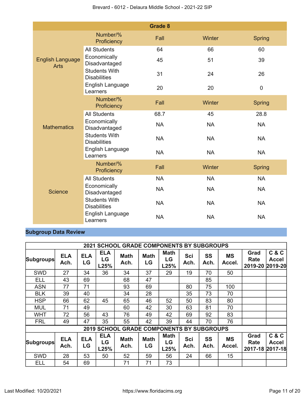|                                        |                                             | <b>Grade 8</b> |           |               |
|----------------------------------------|---------------------------------------------|----------------|-----------|---------------|
|                                        | Number/%<br>Proficiency                     | Fall           | Winter    | <b>Spring</b> |
|                                        | <b>All Students</b>                         | 64             | 66        | 60            |
| <b>English Language</b><br><b>Arts</b> | Economically<br>Disadvantaged               | 45             | 51        | 39            |
|                                        | <b>Students With</b><br><b>Disabilities</b> | 31             | 24        | 26            |
|                                        | English Language<br>Learners                | 20             | 20        | $\mathbf 0$   |
|                                        | Number/%<br>Proficiency                     | Fall           | Winter    | <b>Spring</b> |
|                                        | <b>All Students</b>                         | 68.7           | 45        | 28.8          |
| <b>Mathematics</b>                     | Economically<br>Disadvantaged               | <b>NA</b>      | <b>NA</b> | <b>NA</b>     |
|                                        | <b>Students With</b><br><b>Disabilities</b> | <b>NA</b>      | <b>NA</b> | <b>NA</b>     |
|                                        | English Language<br>Learners                | <b>NA</b>      | <b>NA</b> | <b>NA</b>     |
|                                        | Number/%<br>Proficiency                     | Fall           | Winter    | <b>Spring</b> |
|                                        | <b>All Students</b>                         | <b>NA</b>      | <b>NA</b> | <b>NA</b>     |
| <b>Science</b>                         | Economically<br>Disadvantaged               | <b>NA</b>      | <b>NA</b> | <b>NA</b>     |
|                                        | <b>Students With</b><br><b>Disabilities</b> | <b>NA</b>      | <b>NA</b> | <b>NA</b>     |
|                                        | English Language<br>Learners                | <b>NA</b>      | <b>NA</b> | <b>NA</b>     |

## **Subgroup Data Review**

|                  |                    |                  |                          | <b>2021 SCHOOL GRADE COMPONENTS BY SUBGROUPS</b> |                   |                           |             |                   |                     |                                 |                       |
|------------------|--------------------|------------------|--------------------------|--------------------------------------------------|-------------------|---------------------------|-------------|-------------------|---------------------|---------------------------------|-----------------------|
| <b>Subgroups</b> | <b>ELA</b><br>Ach. | <b>ELA</b><br>LG | <b>ELA</b><br>LG<br>L25% | <b>Math</b><br>Ach.                              | <b>Math</b><br>LG | <b>Math</b><br>LG<br>L25% | Sci<br>Ach. | <b>SS</b><br>Ach. | <b>MS</b><br>Accel. | Grad<br>Rate<br>2019-20 2019-20 | C & C<br><b>Accel</b> |
| <b>SWD</b>       | 27                 | 34               | 36                       | 34                                               | 37                | 29                        | 19          | 70                | 50                  |                                 |                       |
| ELL              | 43                 | 69               |                          | 68                                               | 47                |                           |             | 85                |                     |                                 |                       |
| <b>ASN</b>       | 77                 | 71               |                          | 93                                               | 69                |                           | 80          | 75                | 100                 |                                 |                       |
| <b>BLK</b>       | 39                 | 40               |                          | 34                                               | 28                |                           | 35          | 73                | 70                  |                                 |                       |
| <b>HSP</b>       | 66                 | 62               | 45                       | 65                                               | 46                | 52                        | 50          | 83                | 80                  |                                 |                       |
| <b>MUL</b>       | 71                 | 49               |                          | 60                                               | 42                | 30                        | 63          | 81                | 70                  |                                 |                       |
| <b>WHT</b>       | 72                 | 56               | 43                       | 76                                               | 49                | 42                        | 69          | 92                | 83                  |                                 |                       |
| <b>FRL</b>       | 49                 | 47               | 35                       | 55                                               | 42                | 39                        | 44          | 70                | 76                  |                                 |                       |
|                  |                    |                  |                          | <b>2019 SCHOOL GRADE COMPONENTS BY SUBGROUPS</b> |                   |                           |             |                   |                     |                                 |                       |
| <b>Subgroups</b> | <b>ELA</b><br>Ach. | <b>ELA</b><br>LG | <b>ELA</b><br>LG<br>L25% | <b>Math</b><br>Ach.                              | <b>Math</b><br>LG | <b>Math</b><br>LG<br>L25% | Sci<br>Ach. | SS<br>Ach.        | <b>MS</b><br>Accel. | Grad<br>Rate<br>2017-18 2017-18 | C & C<br>Accel        |
| <b>SWD</b>       | 28                 | 53               | 50                       | 52                                               | 59                | 56                        | 24          | 66                | 15                  |                                 |                       |
| ELL              | 54                 | 69               |                          | 71                                               | 71                | 73                        |             |                   |                     |                                 |                       |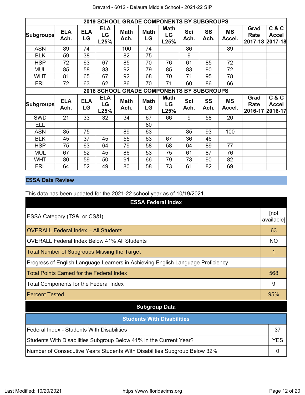|                  |                    |                  |                          | <b>2019 SCHOOL GRADE COMPONENTS BY SUBGROUPS</b> |                   |                           |             |                   |                     |                                 |                       |
|------------------|--------------------|------------------|--------------------------|--------------------------------------------------|-------------------|---------------------------|-------------|-------------------|---------------------|---------------------------------|-----------------------|
| <b>Subgroups</b> | <b>ELA</b><br>Ach. | <b>ELA</b><br>LG | <b>ELA</b><br>LG<br>L25% | <b>Math</b><br>Ach.                              | <b>Math</b><br>LG | <b>Math</b><br>LG<br>L25% | Sci<br>Ach. | <b>SS</b><br>Ach. | <b>MS</b><br>Accel. | Grad<br>Rate<br>2017-18 2017-18 | C & C<br><b>Accel</b> |
| <b>ASN</b>       | 89                 | 74               |                          | 100                                              | 74                |                           | 86          |                   | 89                  |                                 |                       |
| <b>BLK</b>       | 59                 | 38               |                          | 82                                               | 75                |                           | 9           |                   |                     |                                 |                       |
| <b>HSP</b>       | 72                 | 63               | 67                       | 85                                               | 70                | 76                        | 61          | 85                | 72                  |                                 |                       |
| <b>MUL</b>       | 85                 | 58               | 83                       | 92                                               | 79                | 85                        | 83          | 90                | 72                  |                                 |                       |
| <b>WHT</b>       | 81                 | 65               | 67                       | 92                                               | 68                | 70                        | 71          | 95                | 78                  |                                 |                       |
| <b>FRL</b>       | 72                 | 63               | 62                       | 86                                               | 70                | 71                        | 60          | 86                | 66                  |                                 |                       |
|                  |                    |                  |                          | <b>2018 SCHOOL GRADE COMPONENTS BY SUBGROUPS</b> |                   |                           |             |                   |                     |                                 |                       |
| <b>Subgroups</b> | <b>ELA</b><br>Ach. | <b>ELA</b><br>LG | <b>ELA</b><br>LG<br>L25% | <b>Math</b><br>Ach.                              | <b>Math</b><br>LG | <b>Math</b><br>LG<br>L25% | Sci<br>Ach. | <b>SS</b><br>Ach. | <b>MS</b><br>Accel. | Grad<br>Rate<br>2016-17 2016-17 | C & C<br><b>Accel</b> |
| <b>SWD</b>       | 21                 | 33               | 32                       | 34                                               | 67                | 66                        | 9           | 58                | 20                  |                                 |                       |
| ELL              |                    |                  |                          |                                                  | 80                |                           |             |                   |                     |                                 |                       |
| <b>ASN</b>       | 85                 | 75               |                          | 89                                               | 63                |                           | 85          | 93                | 100                 |                                 |                       |
| <b>BLK</b>       | 45                 | 37               | 45                       | 55                                               | 63                | 67                        | 36          | 46                |                     |                                 |                       |
| <b>HSP</b>       | 75                 | 63               | 64                       | 79                                               | 58                | 58                        | 64          | 89                | 77                  |                                 |                       |
| <b>MUL</b>       | 67                 | 52               | 45                       | 86                                               | 53                | 75                        | 61          | 87                | 76                  |                                 |                       |
| <b>WHT</b>       | 80                 | 59               | 50                       | 91                                               | 66                | 79                        | 73          | 90                | 82                  |                                 |                       |
| <b>FRL</b>       | 64                 | 52               | 49                       | 80                                               | 58                | 73                        | 61          | 82                | 69                  |                                 |                       |

## **ESSA Data Review**

This data has been updated for the 2021-22 school year as of 10/19/2021.

| <b>ESSA Federal Index</b>                                                       |                    |
|---------------------------------------------------------------------------------|--------------------|
| ESSA Category (TS&I or CS&I)                                                    | [not<br>available] |
| <b>OVERALL Federal Index - All Students</b>                                     | 63                 |
| OVERALL Federal Index Below 41% All Students                                    | NO.                |
| Total Number of Subgroups Missing the Target                                    |                    |
| Progress of English Language Learners in Achieving English Language Proficiency |                    |
| Total Points Earned for the Federal Index                                       | 568                |
| <b>Total Components for the Federal Index</b>                                   | 9                  |
| <b>Percent Tested</b>                                                           | 95%                |
| <b>Subgroup Data</b>                                                            |                    |
| <b>Students With Disabilities</b>                                               |                    |
| Federal Index - Students With Disabilities                                      | 37                 |
| Students With Disabilities Subgroup Below 41% in the Current Year?              | <b>YES</b>         |
| Number of Consecutive Years Students With Disabilities Subgroup Below 32%       | 0                  |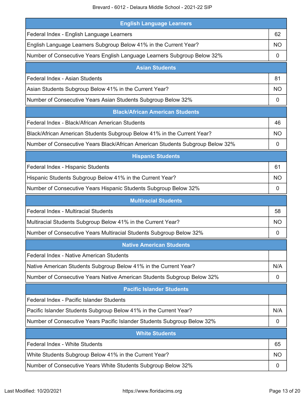| <b>English Language Learners</b>                                               |           |
|--------------------------------------------------------------------------------|-----------|
| Federal Index - English Language Learners                                      | 62        |
| English Language Learners Subgroup Below 41% in the Current Year?              | NO.       |
| Number of Consecutive Years English Language Learners Subgroup Below 32%       | 0         |
| <b>Asian Students</b>                                                          |           |
| Federal Index - Asian Students                                                 | 81        |
| Asian Students Subgroup Below 41% in the Current Year?                         | <b>NO</b> |
| Number of Consecutive Years Asian Students Subgroup Below 32%                  | 0         |
| <b>Black/African American Students</b>                                         |           |
| Federal Index - Black/African American Students                                | 46        |
| Black/African American Students Subgroup Below 41% in the Current Year?        | NO        |
| Number of Consecutive Years Black/African American Students Subgroup Below 32% | 0         |
| <b>Hispanic Students</b>                                                       |           |
| Federal Index - Hispanic Students                                              | 61        |
| Hispanic Students Subgroup Below 41% in the Current Year?                      | <b>NO</b> |
| Number of Consecutive Years Hispanic Students Subgroup Below 32%               | 0         |
| <b>Multiracial Students</b>                                                    |           |
| Federal Index - Multiracial Students                                           | 58        |
| Multiracial Students Subgroup Below 41% in the Current Year?                   | NO        |
|                                                                                |           |
| Number of Consecutive Years Multiracial Students Subgroup Below 32%            | 0         |
| <b>Native American Students</b>                                                |           |
| Federal Index - Native American Students                                       |           |
| Native American Students Subgroup Below 41% in the Current Year?               | N/A       |
| Number of Consecutive Years Native American Students Subgroup Below 32%        | 0         |
| <b>Pacific Islander Students</b>                                               |           |
| Federal Index - Pacific Islander Students                                      |           |
| Pacific Islander Students Subgroup Below 41% in the Current Year?              | N/A       |
| Number of Consecutive Years Pacific Islander Students Subgroup Below 32%       | 0         |
| <b>White Students</b>                                                          |           |
| Federal Index - White Students                                                 | 65        |
| White Students Subgroup Below 41% in the Current Year?                         | <b>NO</b> |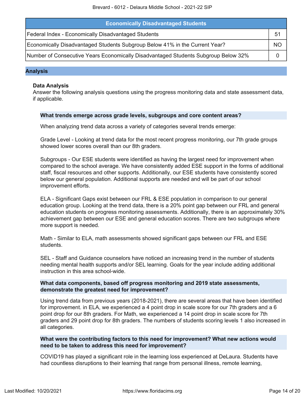| <b>Economically Disadvantaged Students</b>                                         |    |
|------------------------------------------------------------------------------------|----|
| Federal Index - Economically Disadvantaged Students                                | b. |
| Economically Disadvantaged Students Subgroup Below 41% in the Current Year?        | ΝO |
| Number of Consecutive Years Economically Disadvantaged Students Subgroup Below 32% |    |

### **Analysis**

### **Data Analysis**

Answer the following analysis questions using the progress monitoring data and state assessment data, if applicable.

### **What trends emerge across grade levels, subgroups and core content areas?**

When analyzing trend data across a variety of categories several trends emerge:

Grade Level - Looking at trend data for the most recent progress monitoring, our 7th grade groups showed lower scores overall than our 8th graders.

Subgroups - Our ESE students were identified as having the largest need for improvement when compared to the school average. We have consistently added ESE support in the forms of additional staff, fiscal resources and other supports. Additionally, our ESE students have consistently scored below our general population. Additional supports are needed and will be part of our school improvement efforts.

ELA - Significant Gaps exist between our FRL & ESE population in comparison to our general education group. Looking at the trend data, there is a 20% point gap between our FRL and general education students on progress monitoring assessments. Additionally, there is an approximately 30% achievement gap between our ESE and general education scores. There are two subgroups where more support is needed.

Math - Similar to ELA, math assessments showed significant gaps between our FRL and ESE students.

SEL - Staff and Guidance counselors have noticed an increasing trend in the number of students needing mental health supports and/or SEL learning. Goals for the year include adding additional instruction in this area school-wide.

### **What data components, based off progress monitoring and 2019 state assessments, demonstrate the greatest need for improvement?**

Using trend data from previous years (2018-2021), there are several areas that have been identified for improvement. in ELA, we experienced a 4 point drop in scale score for our 7th graders and a 6 point drop for our 8th graders. For Math, we experienced a 14 point drop in scale score for 7th graders and 29 point drop for 8th graders. The numbers of students scoring levels 1 also increased in all categories.

### **What were the contributing factors to this need for improvement? What new actions would need to be taken to address this need for improvement?**

COVID19 has played a significant role in the learning loss experienced at DeLaura. Students have had countless disruptions to their learning that range from personal illness, remote learning,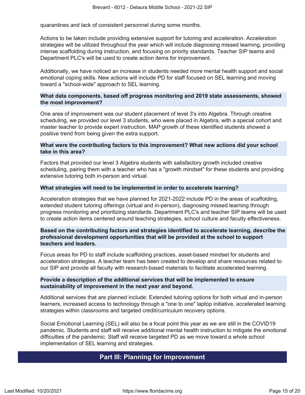quarantines and lack of consistent personnel during some months.

Actions to be taken include providing extensive support for tutoring and acceleration. Acceleration strategies will be utilized throughout the year which will include diagnosing missed learning, providing intense scaffolding during instruction, and focusing on priority standards. Teacher SIP teams and Department PLC's will be used to create action items for improvement.

Additionally, we have noticed an increase in students needed more mental health support and social emotional coping skills. New actions will include PD for staff focused on SEL learning and moving toward a "school-wide" approach to SEL learning.

### **What data components, based off progress monitoring and 2019 state assessments, showed the most improvement?**

One area of improvement was our student placement of level 3's into Algebra. Through creative scheduling, we provided our level 3 students, who were placed in Algebra, with a special cohort and master teacher to provide expert instruction. MAP growth of these identified students showed a positive trend from being given the extra support.

### **What were the contributing factors to this improvement? What new actions did your school take in this area?**

Factors that provided our level 3 Algebra students with satisfactory growth included creative scheduling, pairing them with a teacher who has a "growth mindset" for these students and providing extensive tutoring both in-person and virtual.

### **What strategies will need to be implemented in order to accelerate learning?**

Acceleration strategies that we have planned for 2021-2022 include PD in the areas of scaffolding, extended student tutoring offerings (virtual and in-person), diagnosing missed learning through progress monitoring and prioritizing standards. Department PLC's and teacher SIP teams will be used to create action items centered around teaching strategies, school culture and faculty effectiveness.

### **Based on the contributing factors and strategies identified to accelerate learning, describe the professional development opportunities that will be provided at the school to support teachers and leaders.**

Focus areas for PD to staff include scaffolding practices, asset-based mindset for students and acceleration strategies. A teacher team has been created to develop and share resources related to our SIP and provide all faculty with research-based materials to facilitate accelerated learning.

### **Provide a description of the additional services that will be implemented to ensure sustainability of improvement in the next year and beyond.**

Additional services that are planned include: Extended tutoring options for both virtual and in-person learners, increased access to technology through a "one to one" laptop initiative, accelerated learning strategies within classrooms and targeted credit/curriculum recovery options.

<span id="page-14-0"></span>Social Emotional Learning (SEL) will also be a focal point this year as we are still in the COVID19 pandemic. Students and staff will receive additional mental health instruction to mitigate the emotional difficulties of the pandemic. Staff will receive targeted PD as we move toward a whole school implementation of SEL learning and strategies.

## **Part III: Planning for Improvement**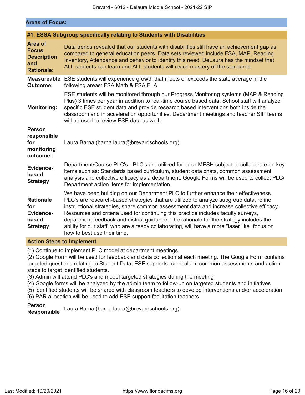### **Areas of Focus:**

|                                                                                  | #1. ESSA Subgroup specifically relating to Students with Disabilities                                                                                                                                                                                                                                                                                                                                                                                                                                                                                                                    |
|----------------------------------------------------------------------------------|------------------------------------------------------------------------------------------------------------------------------------------------------------------------------------------------------------------------------------------------------------------------------------------------------------------------------------------------------------------------------------------------------------------------------------------------------------------------------------------------------------------------------------------------------------------------------------------|
| <b>Area of</b><br><b>Focus</b><br><b>Description</b><br>and<br><b>Rationale:</b> | Data trends revealed that our students with disabilities still have an achievement gap as<br>compared to general education peers. Data sets reviewed include FSA, MAP, Reading<br>Inventory, Attendance and behavior to identify this need. DeLaura has the mindset that<br>ALL students can learn and ALL students will reach mastery of the standards.                                                                                                                                                                                                                                 |
| <b>Measureable</b><br><b>Outcome:</b>                                            | ESE students will experience growth that meets or exceeds the state average in the<br>following areas: FSA Math & FSA ELA                                                                                                                                                                                                                                                                                                                                                                                                                                                                |
| <b>Monitoring:</b>                                                               | ESE students will be monitored through our Progress Monitoring systems (MAP & Reading<br>Plus) 3 times per year in addition to real-time course based data. School staff will analyze<br>specific ESE student data and provide research based interventions both inside the<br>classroom and in acceleration opportunities. Department meetings and teacher SIP teams<br>will be used to review ESE data as well.                                                                                                                                                                        |
| <b>Person</b><br>responsible<br>for<br>monitoring<br>outcome:                    | Laura Barna (barna.laura@brevardschools.org)                                                                                                                                                                                                                                                                                                                                                                                                                                                                                                                                             |
| Evidence-<br>based<br><b>Strategy:</b>                                           | Department/Course PLC's - PLC's are utilized for each MESH subject to collaborate on key<br>items such as: Standards based curriculum, student data chats, common assessment<br>analysis and collective efficacy as a department. Google Forms will be used to collect PLC/<br>Department action items for implementation.                                                                                                                                                                                                                                                               |
| <b>Rationale</b><br>for<br>Evidence-<br>based<br>Strategy:                       | We have been building on our Department PLC to further enhance their effectiveness.<br>PLC's are research-based strategies that are utilized to analyze subgroup data, refine<br>instructional strategies, share common assessment data and increase collective efficacy.<br>Resources and criteria used for continuing this practice includes faculty surveys,<br>department feedback and district guidance. The rationale for the strategy includes the<br>ability for our staff, who are already collaborating, will have a more "laser like" focus on<br>how to best use their time. |

### **Action Steps to Implement**

(1) Continue to implement PLC model at department meetings

(2) Google Form will be used for feedback and data collection at each meeting. The Google Form contains targeted questions relating to Student Data, ESE supports, curriculum, common assessments and action steps to target identified students.

(3) Admin will attend PLC's and model targeted strategies during the meeting

(4) Google forms will be analyzed by the admin team to follow-up on targeted students and initiatives

(5) identified students will be shared with classroom teachers to develop interventions and/or acceleration

(6) PAR allocation will be used to add ESE support facilitation teachers

# **Person**

**Responsible** Laura Barna (barna.laura@brevardschools.org)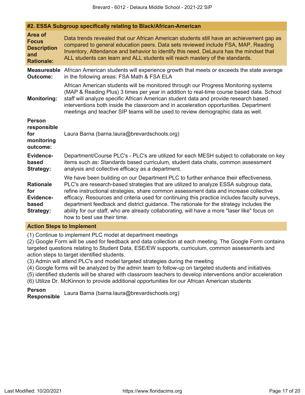**#2. ESSA Subgroup specifically relating to Black/African-American**

| Area of<br><b>Focus</b><br><b>Description</b><br>and<br><b>Rationale:</b> | Data trends revealed that our African American students still have an achievement gap as<br>compared to general education peers. Data sets reviewed include FSA, MAP, Reading<br>Inventory, Attendance and behavior to identify this need. DeLaura has the mindset that<br>ALL students can learn and ALL students will reach mastery of the standards.                                                                                                                                                                                                                                       |
|---------------------------------------------------------------------------|-----------------------------------------------------------------------------------------------------------------------------------------------------------------------------------------------------------------------------------------------------------------------------------------------------------------------------------------------------------------------------------------------------------------------------------------------------------------------------------------------------------------------------------------------------------------------------------------------|
| <b>Measureable</b><br><b>Outcome:</b>                                     | African American students will experience growth that meets or exceeds the state average<br>in the following areas: FSA Math & FSA ELA                                                                                                                                                                                                                                                                                                                                                                                                                                                        |
| <b>Monitoring:</b>                                                        | African American students will be monitored through our Progress Monitoring systems<br>(MAP & Reading Plus) 3 times per year in addition to real-time course based data. School<br>staff will analyze specific African American student data and provide research based<br>interventions both inside the classroom and in acceleration opportunities. Department<br>meetings and teacher SIP teams will be used to review demographic data as well.                                                                                                                                           |
| <b>Person</b><br>responsible<br>for<br>monitoring<br>outcome:             | Laura Barna (barna.laura@brevardschools.org)                                                                                                                                                                                                                                                                                                                                                                                                                                                                                                                                                  |
| Evidence-<br>based<br>Strategy:                                           | Department/Course PLC's - PLC's are utilized for each MESH subject to collaborate on key<br>items such as: Standards based curriculum, student data chats, common assessment<br>analysis and collective efficacy as a department.                                                                                                                                                                                                                                                                                                                                                             |
| <b>Rationale</b><br>for<br>Evidence-<br>based<br>Strategy:                | We have been building on our Department PLC to further enhance their effectiveness.<br>PLC's are research-based strategies that are utilized to analyze ESSA subgroup data,<br>refine instructional strategies, share common assessment data and increase collective<br>efficacy. Resources and criteria used for continuing this practice includes faculty surveys,<br>department feedback and district guidance. The rationale for the strategy includes the<br>ability for our staff, who are already collaborating, will have a more "laser like" focus on<br>how to best use their time. |

### **Action Steps to Implement**

(1) Continue to implement PLC model at department meetings

(2) Google Form will be used for feedback and data collection at each meeting. The Google Form contains targeted questions relating to Student Data, ESE/EW supports, curriculum, common assessments and action steps to target identified students.

(3) Admin will attend PLC's and model targeted strategies during the meeting

(4) Google forms will be analyzed by the admin team to follow-up on targeted students and initiatives

(5) identified students will be shared with classroom teachers to develop interventions and/or acceleration

(6) Utilize Dr. McKinnon to provide additional opportunities for our African American students

### **Person**

**Responsible** Laura Barna (barna.laura@brevardschools.org)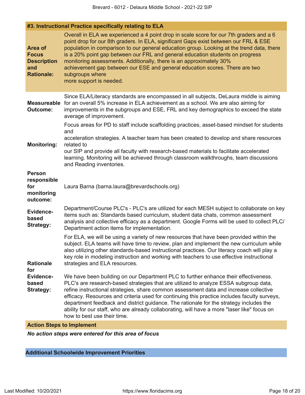## **#3. Instructional Practice specifically relating to ELA**

| <b>Area of</b><br><b>Focus</b><br><b>Description</b><br>and<br><b>Rationale:</b> | Overall in ELA we experienced a 4 point drop in scale score for our 7th graders and a 6<br>point drop for our 8th graders. In ELA, significant Gaps exist between our FRL & ESE<br>population in comparison to our general education group. Looking at the trend data, there<br>is a 20% point gap between our FRL and general education students on progress<br>monitoring assessments. Additionally, there is an approximately 30%<br>achievement gap between our ESE and general education scores. There are two<br>subgroups where<br>more support is needed.                             |
|----------------------------------------------------------------------------------|-----------------------------------------------------------------------------------------------------------------------------------------------------------------------------------------------------------------------------------------------------------------------------------------------------------------------------------------------------------------------------------------------------------------------------------------------------------------------------------------------------------------------------------------------------------------------------------------------|
| <b>Measureable</b><br><b>Outcome:</b>                                            | Since ELA/Literacy standards are encompassed in all subjects, DeLaura middle is aiming<br>for an overall 5% increase in ELA achievement as a school. We are also aiming for<br>improvements in the subgroups and ESE, FRL and key demographics to exceed the state<br>average of improvement.                                                                                                                                                                                                                                                                                                 |
| <b>Monitoring:</b>                                                               | Focus areas for PD to staff include scaffolding practices, asset-based mindset for students<br>and<br>acceleration strategies. A teacher team has been created to develop and share resources<br>related to<br>our SIP and provide all faculty with research-based materials to facilitate accelerated<br>learning. Monitoring will be achieved through classroom walkthroughs, team discussions<br>and Reading inventories.                                                                                                                                                                  |
| <b>Person</b><br>responsible<br>for<br>monitoring<br>outcome:                    | Laura Barna (barna.laura@brevardschools.org)                                                                                                                                                                                                                                                                                                                                                                                                                                                                                                                                                  |
| Evidence-<br>based<br><b>Strategy:</b>                                           | Department/Course PLC's - PLC's are utilized for each MESH subject to collaborate on key<br>items such as: Standards based curriculum, student data chats, common assessment<br>analysis and collective efficacy as a department. Google Forms will be used to collect PLC/<br>Department action items for implementation.                                                                                                                                                                                                                                                                    |
| <b>Rationale</b><br>for                                                          | For ELA, we will be using a variety of new resources that have been provided within the<br>subject. ELA teams will have time to review, plan and implement the new curriculum while<br>also utilizing other standards-based instructional practices. Our literacy coach will play a<br>key role in modeling instruction and working with teachers to use effective instructional<br>strategies and ELA resources.                                                                                                                                                                             |
| Evidence-<br>based<br><b>Strategy:</b>                                           | We have been building on our Department PLC to further enhance their effectiveness.<br>PLC's are research-based strategies that are utilized to analyze ESSA subgroup data,<br>refine instructional strategies, share common assessment data and increase collective<br>efficacy. Resources and criteria used for continuing this practice includes faculty surveys,<br>department feedback and district guidance. The rationale for the strategy includes the<br>ability for our staff, who are already collaborating, will have a more "laser like" focus on<br>how to best use their time. |

## **Action Steps to Implement**

*No action steps were entered for this area of focus*

## **Additional Schoolwide Improvement Priorities**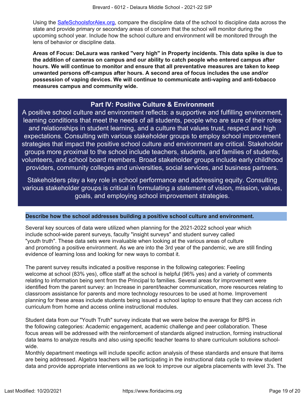Using the [SafeSchoolsforAlex.org](https://www.safeschoolsforalex.org/fl-school-safety-dashboard/), compare the discipline data of the school to discipline data across the state and provide primary or secondary areas of concern that the school will monitor during the upcoming school year. Include how the school culture and environment will be monitored through the lens of behavior or discipline data.

**Areas of Focus: DeLaura was ranked "very high" in Property incidents. This data spike is due to the addition of cameras on campus and our ability to catch people who entered campus after hours. We will continue to monitor and ensure that all preventative measures are taken to keep unwanted persons off-campus after hours. A second area of focus includes the use and/or possession of vaping devices. We will continue to communicate anti-vaping and anti-tobacco measures campus and community wide.**

## **Part IV: Positive Culture & Environment**

<span id="page-18-0"></span>A positive school culture and environment reflects: a supportive and fulfilling environment, learning conditions that meet the needs of all students, people who are sure of their roles and relationships in student learning, and a culture that values trust, respect and high expectations. Consulting with various stakeholder groups to employ school improvement strategies that impact the positive school culture and environment are critical. Stakeholder groups more proximal to the school include teachers, students, and families of students, volunteers, and school board members. Broad stakeholder groups include early childhood providers, community colleges and universities, social services, and business partners.

Stakeholders play a key role in school performance and addressing equity. Consulting various stakeholder groups is critical in formulating a statement of vision, mission, values, goals, and employing school improvement strategies.

### **Describe how the school addresses building a positive school culture and environment.**

Several key sources of data were utilized when planning for the 2021-2022 school year which include school-wide parent surveys, faculty "insight surveys" and student survey called "youth truth". These data sets were invaluable when looking at the various areas of culture and promoting a positive environment. As we are into the 3rd year of the pandemic, we are still finding evidence of learning loss and looking for new ways to combat it.

The parent survey results indicated a positive response in the following categories: Feeling welcome at school (83% yes), office staff at the school is helpful (96% yes) and a variety of comments relating to information being sent from the Principal to families. Several areas for improvement were identified from the parent survey: an Increase in parent/teacher communication, more resources relating to classroom assistance for parents and more technology resources to be used at home. Improvement planning for these areas include students being issued a school laptop to ensure that they can access rich curriculum from home and access online instructional modules.

Student data from our "Youth Truth" survey indicate that we were below the average for BPS in the following categories: Academic engagement, academic challenge and peer collaboration. These focus areas will be addressed with the reinforcement of standards aligned instruction, forming instructional data teams to analyze results and also using specific teacher teams to share curriculum solutions schoolwide.

Monthly department meetings will include specific action analysis of these standards and ensure that items are being addressed. Algebra teachers will be participating in the instructional data cycle to review student data and provide appropriate interventions as we look to improve our algebra placements with level 3's. The